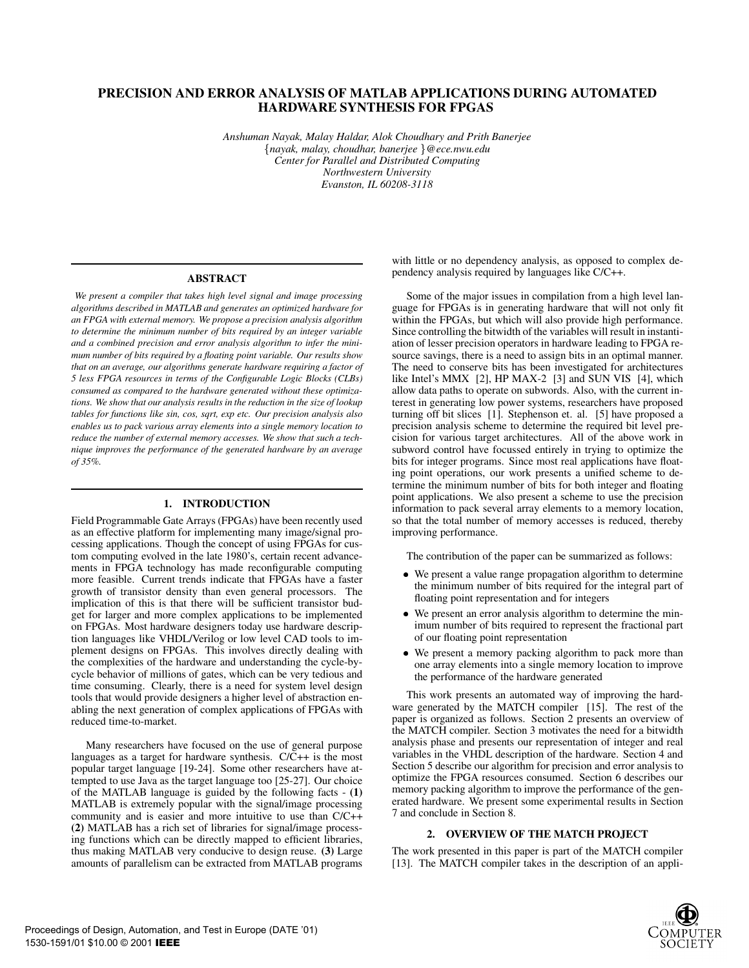# **PRECISION AND ERROR ANALYSIS OF MATLAB APPLICATIONS DURING AUTOMATED HARDWARE SYNTHESIS FOR FPGAS**

*Anshuman Nayak, Malay Haldar, Alok Choudhary and Prith Banerjee* f*nayak, malay, choudhar, banerjee* g*@ece.nwu.edu Center for Parallel and Distributed Computing Northwestern University Evanston, IL 60208-3118*

## **ABSTRACT**

*We present a compiler that takes high level signal and image processing algorithms described in MATLAB and generates an optimized hardware for an FPGA with external memory. We propose a precision analysis algorithm to determine the minimum number of bits required by an integer variable and a combined precision and error analysis algorithm to infer the minimum number of bits required by a floating point variable. Our results show that on an average, our algorithms generate hardware requiring a factor of 5 less FPGA resources in terms of the Configurable Logic Blocks (CLBs) consumed as compared to the hardware generated without these optimizations. We show that our analysis results in the reduction in the size of lookup tables for functions like sin, cos, sqrt, expetc. Our precision analysis also enables us to pack various array elements into a single memory location to reduce the number of external memory accesses. We show that such a technique improves the performance of the generated hardware by an average of 35%.*

# **1. INTRODUCTION**

Field Programmable Gate Arrays (FPGAs) have been recently used as an effective platform for implementing many image/signal processing applications. Though the concept of using FPGAs for custom computing evolved in the late 1980's, certain recent advancements in FPGA technology has made reconfigurable computing more feasible. Current trends indicate that FPGAs have a faster growth of transistor density than even general processors. The implication of this is that there will be sufficient transistor budget for larger and more complex applications to be implemented on FPGAs. Most hardware designers today use hardware description languages like VHDL/Verilog or low level CAD tools to implement designs on FPGAs. This involves directly dealing with the complexities of the hardware and understanding the cycle-bycycle behavior of millions of gates, which can be very tedious and time consuming. Clearly, there is a need for system level design tools that would provide designers a higher level of abstraction enabling the next generation of complex applications of FPGAs with reduced time-to-market.

Many researchers have focused on the use of general purpose languages as a target for hardware synthesis. C/C++ is the most popular target language [19-24]. Some other researchers have attempted to use Java as the target language too [25-27]. Our choice of the MATLAB language is guided by the following facts - **(1)** MATLAB is extremely popular with the signal/image processing community and is easier and more intuitive to use than C/C++ **(2)** MATLAB has a rich set of libraries for signal/image processing functions which can be directly mapped to efficient libraries, thus making MATLAB very conducive to design reuse. **(3)** Large amounts of parallelism can be extracted from MATLAB programs with little or no dependency analysis, as opposed to complex dependency analysis required by languages like C/C++.

Some of the major issues in compilation from a high level language for FPGAs is in generating hardware that will not only fit within the FPGAs, but which will also provide high performance. Since controlling the bitwidth of the variables will result in instantiation of lesser precision operators in hardware leading to FPGA resource savings, there is a need to assign bits in an optimal manner. The need to conserve bits has been investigated for architectures like Intel's MMX [2], HP MAX-2 [3] and SUN VIS [4], which allow data paths to operate on subwords. Also, with the current interest in generating low power systems, researchers have proposed turning off bit slices [1]. Stephenson et. al. [5] have proposed a precision analysis scheme to determine the required bit level precision for various target architectures. All of the above work in subword control have focussed entirely in trying to optimize the bits for integer programs. Since most real applications have floating point operations, our work presents a unified scheme to determine the minimum number of bits for both integer and floating point applications. We also present a scheme to use the precision information to pack several array elements to a memory location, so that the total number of memory accesses is reduced, thereby improving performance.

The contribution of the paper can be summarized as follows:

- We present a value range propagation algorithm to determine the minimum number of bits required for the integral part of floating point representation and for integers
- We present an error analysis algorithm to determine the minimum number of bits required to represent the fractional part of our floating point representation
- We present a memory packing algorithm to pack more than one array elements into a single memory location to improve the performance of the hardware generated

This work presents an automated way of improving the hardware generated by the MATCH compiler [15]. The rest of the paper is organized as follows. Section 2 presents an overview of the MATCH compiler. Section 3 motivates the need for a bitwidth analysis phase and presents our representation of integer and real variables in the VHDL description of the hardware. Section 4 and Section 5 describe our algorithm for precision and error analysis to optimize the FPGA resources consumed. Section 6 describes our memory packing algorithm to improve the performance of the generated hardware. We present some experimental results in Section 7 and conclude in Section 8.

## **2. OVERVIEW OF THE MATCH PROJECT**

The work presented in this paper is part of the MATCH compiler [13]. The MATCH compiler takes in the description of an appli-

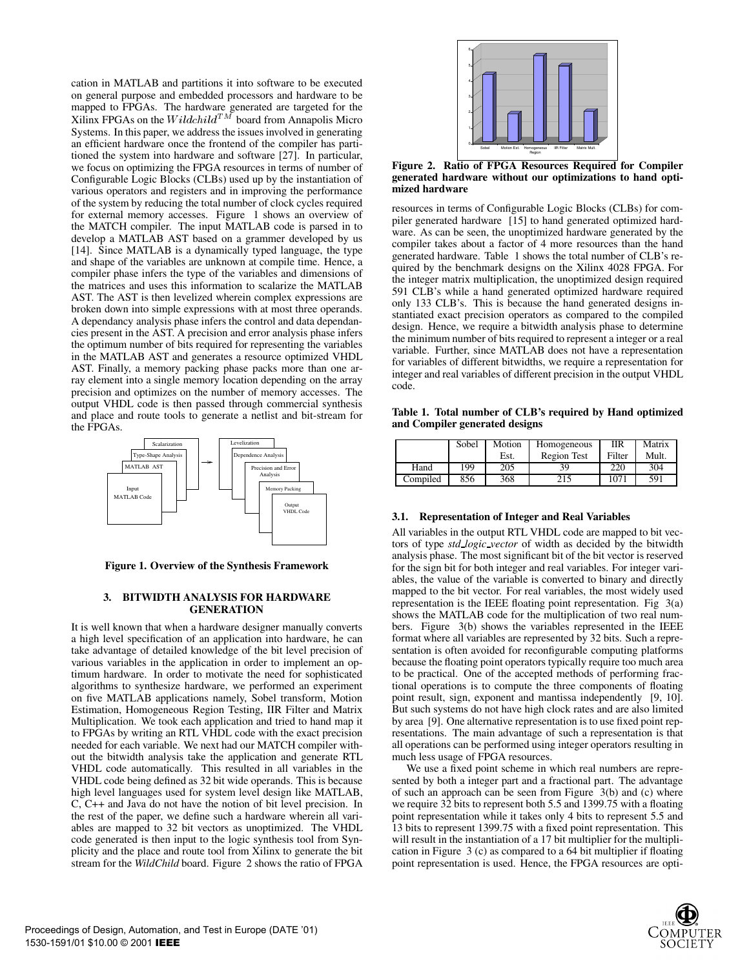cation in MATLAB and partitions it into software to be executed on general purpose and embedded processors and hardware to be mapped to FPGAs. The hardware generated are targeted for the Xilinx FPGAs on the  $Wildchild^{TM}$  board from Annapolis Micro Systems. In this paper, we address the issues involved in generating an efficient hardware once the frontend of the compiler has partitioned the system into hardware and software [27]. In particular, we focus on optimizing the FPGA resources in terms of number of Configurable Logic Blocks (CLBs) used up by the instantiation of various operators and registers and in improving the performance of the system by reducing the total number of clock cycles required for external memory accesses. Figure 1 shows an overview of the MATCH compiler. The input MATLAB code is parsed in to develop a MATLAB AST based on a grammer developed by us [14]. Since MATLAB is a dynamically typed language, the type and shape of the variables are unknown at compile time. Hence, a compiler phase infers the type of the variables and dimensions of the matrices and uses this information to scalarize the MATLAB AST. The AST is then levelized wherein complex expressions are broken down into simple expressions with at most three operands. A dependancy analysis phase infers the control and data dependancies present in the AST. A precision and error analysis phase infers the optimum number of bits required for representing the variables in the MATLAB AST and generates a resource optimized VHDL AST. Finally, a memory packing phase packs more than one array element into a single memory location depending on the array precision and optimizes on the number of memory accesses. The output VHDL code is then passed through commercial synthesis and place and route tools to generate a netlist and bit-stream for the FPGAs.



**Figure 1. Overview of the Synthesis Framework**

## **3. BITWIDTH ANALYSIS FOR HARDWARE GENERATION**

It is well known that when a hardware designer manually converts a high level specification of an application into hardware, he can take advantage of detailed knowledge of the bit level precision of various variables in the application in order to implement an optimum hardware. In order to motivate the need for sophisticated algorithms to synthesize hardware, we performed an experiment on five MATLAB applications namely, Sobel transform, Motion Estimation, Homogeneous Region Testing, IIR Filter and Matrix Multiplication. We took each application and tried to hand map it to FPGAs by writing an RTL VHDL code with the exact precision needed for each variable. We next had our MATCH compiler without the bitwidth analysis take the application and generate RTL VHDL code automatically. This resulted in all variables in the VHDL code being defined as 32 bit wide operands. This is because high level languages used for system level design like MATLAB, C, C++ and Java do not have the notion of bit level precision. In the rest of the paper, we define such a hardware wherein all variables are mapped to 32 bit vectors as unoptimized. The VHDL code generated is then input to the logic synthesis tool from Synplicity and the place and route tool from Xilinx to generate the bit stream for the *WildChild* board. Figure 2 shows the ratio of FPGA



**Figure 2. Ratio of FPGA Resources Required for Compiler generated hardware without our optimizations to hand optimized hardware**

resources in terms of Configurable Logic Blocks (CLBs) for compiler generated hardware [15] to hand generated optimized hardware. As can be seen, the unoptimized hardware generated by the compiler takes about a factor of 4 more resources than the hand generated hardware. Table 1 shows the total number of CLB's required by the benchmark designs on the Xilinx 4028 FPGA. For the integer matrix multiplication, the unoptimized design required 591 CLB's while a hand generated optimized hardware required only 133 CLB's. This is because the hand generated designs instantiated exact precision operators as compared to the compiled design. Hence, we require a bitwidth analysis phase to determine the minimum number of bits required to represent a integer or a real variable. Further, since MATLAB does not have a representation for variables of different bitwidths, we require a representation for integer and real variables of different precision in the output VHDL code.

**Table 1. Total number of CLB's required by Hand optimized** and Compiler generated designs

|          | Sobel | Motion | Homogeneous        | ПR     | Matrix |  |
|----------|-------|--------|--------------------|--------|--------|--|
|          |       |        | <b>Region Test</b> | Filter | Mult.  |  |
| Hand     | 199   | 205    | 39                 | 220    | 304    |  |
| Compiled | 856   | 368    | 215                | 1071   | 591    |  |

## **3.1. Representation of Integer and Real Variables**

All variables in the output RTL VHDL code are mapped to bit vectors of type *std logic vector* of width as decided by the bitwidth analysis phase. The most significant bit of the bit vector is reserved for the sign bit for both integer and real variables. For integer variables, the value of the variable is converted to binary and directly mapped to the bit vector. For real variables, the most widely used representation is the IEEE floating point representation. Fig 3(a) shows the MATLAB code for the multiplication of two real numbers. Figure 3(b) shows the variables represented in the IEEE format where all variables are represented by 32 bits. Such a representation is often avoided for reconfigurable computing platforms because the floating point operators typically require too much area to be practical. One of the accepted methods of performing fractional operations is to compute the three components of floating point result, sign, exponent and mantissa independently [9, 10]. But such systems do not have high clock rates and are also limited by area [9]. One alternative representation is to use fixed point representations. The main advantage of such a representation is that all operations can be performed using integer operators resulting in much less usage of FPGA resources.

We use a fixed point scheme in which real numbers are represented by both a integer part and a fractional part. The advantage of such an approach can be seen from Figure 3(b) and (c) where we require 32 bits to represent both 5.5 and 1399.75 with a floating point representation while it takes only 4 bits to represent 5.5 and 13 bits to represent 1399.75 with a fixed point representation. This will result in the instantiation of a 17 bit multiplier for the multiplication in Figure 3 (c) as compared to a 64 bit multiplier if floating point representation is used. Hence, the FPGA resources are opti-

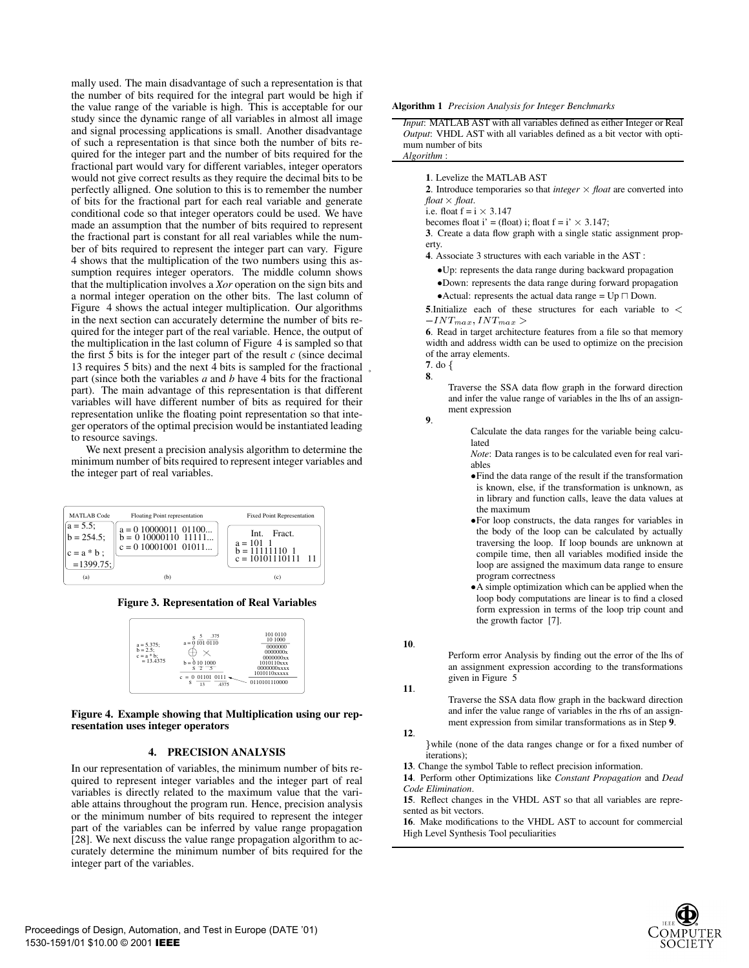mally used. The main disadvantage of such a representation is that the number of bits required for the integral part would be high if the value range of the variable is high. This is acceptable for our study since the dynamic range of all variables in almost all image and signal processing applications is small. Another disadvantage of such a representation is that since both the number of bits required for the integer part and the number of bits required for the fractional part would vary for different variables, integer operators would not give correct results as they require the decimal bits to be perfectly alligned. One solution to this is to remember the number of bits for the fractional part for each real variable and generate conditional code so that integer operators could be used. We have made an assumption that the number of bits required to represent the fractional part is constant for all real variables while the number of bits required to represent the integer part can vary. Figure 4 shows that the multiplication of the two numbers using this assumption requires integer operators. The middle column shows that the multiplication involves a *Xor* operation on the sign bits and a normal integer operation on the other bits. The last column of Figure 4 shows the actual integer multiplication. Our algorithms in the next section can accurately determine the number of bits required for the integer part of the real variable. Hence, the output of the multiplication in the last column of Figure 4 is sampled so that the first  $\bar{5}$  bits is for the integer part of the result  $c$  (since decimal 13 requires 5 bits) and the next 4 bits is sampled for the fractional part (since both the variables *a* and *b* have 4 bits for the fractional part). The main advantage of this representation is that different variables will have different number of bits as required for their representation unlike the floating point representation so that integer operators of the optimal precision would be instantiated leading to resource savings.

We next present a precision analysis algorithm to determine the minimum number of bits required to represent integer variables and the integer part of real variables.



### **Figure 3. Representation of Real Variables**

| $a = 5.375$ :<br>$b = 2.5$ :<br>$c = a * b$ :<br>$= 13.4375$ | .375<br>٥<br>$a = 0$ 101 0110<br>$b = 0101000$<br>$s \rightarrow -$<br>$c = 0$ 01101 0111<br>s<br>13<br>4375 | 101 0110<br>10 1000<br>0000000<br>0000000x<br>0000000xx<br>1010110xxx<br>0000000xxxx<br>1010110xxxxx<br>0110101110000 |
|--------------------------------------------------------------|--------------------------------------------------------------------------------------------------------------|-----------------------------------------------------------------------------------------------------------------------|
|--------------------------------------------------------------|--------------------------------------------------------------------------------------------------------------|-----------------------------------------------------------------------------------------------------------------------|

**Figure 4. Example showing that Multiplication using our representation uses integer operators**

## **4. PRECISION ANALYSIS**

In our representation of variables, the minimum number of bits required to represent integer variables and the integer part of real variables is directly related to the maximum value that the variable attains throughout the program run. Hence, precision analysis or the minimum number of bits required to represent the integer part of the variables can be inferred by value range propagation [28]. We next discuss the value range propagation algorithm to accurately determine the minimum number of bits required for the integer part of the variables.

**Algorithm 1** *Precision Analysis for Integer Benchmarks*

*Input*: MATLAB AST with all variables defined as either Integer or Real *Output*: VHDL AST with all variables defined as a bit vector with optimum number of bits *Algorithm* :

#### **1**. Levelize the MATLAB AST

**2**. Introduce temporaries so that *integer*  $\times$  *float* are converted into *float* - *float*.

i.e. float  $f = i \times 3.147$ 

becomes float i' = (float) i; float  $f = i' \times 3.147$ ;

**3**. Create a data flow graph with a single static assignment property.

**4**. Associate 3 structures with each variable in the AST :

Up: represents the data range during backward propagation Down: represents the data range during forward propagation • Actual: represents the actual data range =  $Up \sqcap Down$ .

**5**.Initialize each of these structures for each variable to <sup>&</sup>lt;  $-INT_{max}, INT_{max}$ 

**6**. Read in target architecture features from a file so that memory width and address width can be used to optimize on the precision of the array elements.

Traverse the SSA data flow graph in the forward direction and infer the value range of variables in the lhs of an assignment expression

**9**.

Calculate the data ranges for the variable being calculated

*Note*: Data ranges is to be calculated even for real variables

Find the data range of the result if the transformation is known, else, if the transformation is unknown, as in library and function calls, leave the data values at the maximum

For loop constructs, the data ranges for variables in the body of the loop can be calculated by actually traversing the loop. If loop bounds are unknown at compile time, then all variables modified inside the loop are assigned the maximum data range to ensure program correctness

A simple optimization which can be applied when the loop body computations are linear is to find a closed form expression in terms of the loop trip count and the growth factor [7].

**10**.

Perform error Analysis by finding out the error of the lhs of an assignment expression according to the transformations given in Figure 5

**11**.

Traverse the SSA data flow graph in the backward direction and infer the value range of variables in the rhs of an assignment expression from similar transformations as in Step **9**.

**12**.

} while (none of the data ranges change or for a fixed number of iterations);

**13**. Change the symbol Table to reflect precision information.

**14**. Perform other Optimizations like *Constant Propagation* and *Dead Code Elimination*.

**15**. Reflect changes in the VHDL AST so that all variables are represented as bit vectors.

**16**. Make modifications to the VHDL AST to account for commercial High Level Synthesis Tool peculiarities

**<sup>7</sup>**. do f **8**.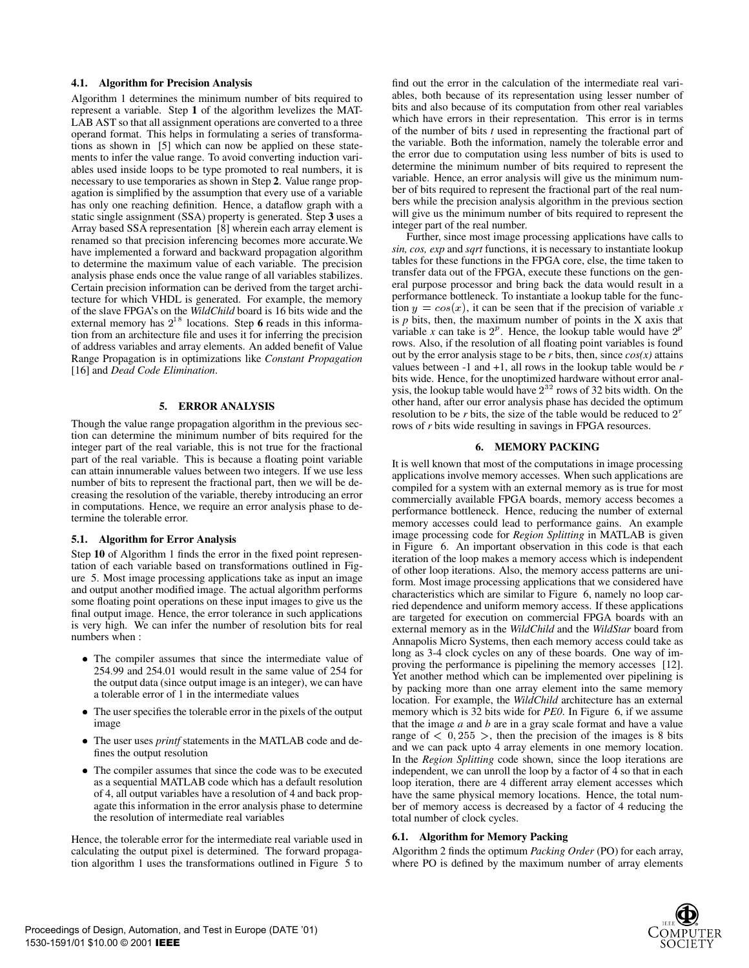## **4.1. Algorithm for Precision Analysis**

Algorithm 1 determines the minimum number of bits required to represent a variable. Step **1** of the algorithm levelizes the MAT-LAB AST so that all assignment operations are converted to a three operand format. This helps in formulating a series of transformations as shown in [5] which can now be applied on these statements to infer the value range. To avoid converting induction variables used inside loops to be type promoted to real numbers, it is necessary to use temporaries as shown in Step **2**. Value range propagation is simplified by the assumption that every use of a variable has only one reaching definition. Hence, a dataflow graph with a static single assignment (SSA) property is generated. Step **3** uses a Array based SSA representation [8] wherein each array element is renamed so that precision inferencing becomes more accurate.We have implemented a forward and backward propagation algorithm to determine the maximum value of each variable. The precision analysis phase ends once the value range of all variables stabilizes. Certain precision information can be derived from the target architecture for which VHDL is generated. For example, the memory of the slave FPGA's on the *WildChild* board is 16 bits wide and the external memory has  $2^{18}$  locations. Step 6 reads in this information from an architecture file and uses it for inferring the precision of address variables and array elements. An added benefit of Value Range Propagation is in optimizations like *Constant Propagation* [16] and *Dead Code Elimination*.

#### **5. ERROR ANALYSIS**

Though the value range propagation algorithm in the previous section can determine the minimum number of bits required for the integer part of the real variable, this is not true for the fractional part of the real variable. This is because a floating point variable can attain innumerable values between two integers. If we use less number of bits to represent the fractional part, then we will be decreasing the resolution of the variable, thereby introducing an error in computations. Hence, we require an error analysis phase to determine the tolerable error.

#### **5.1. Algorithm for Error Analysis**

Step **10** of Algorithm 1 finds the error in the fixed point representation of each variable based on transformations outlined in Figure 5. Most image processing applications take as input an image and output another modified image. The actual algorithm performs some floating point operations on these input images to give us the final output image. Hence, the error tolerance in such applications is very high. We can infer the number of resolution bits for real numbers when :

- The compiler assumes that since the intermediate value of 254.99 and 254.01 would result in the same value of 254 for the output data (since output image is an integer), we can have a tolerable error of 1 in the intermediate values
- The user specifies the tolerable error in the pixels of the output image
- The user uses *printf* statements in the MATLAB code and defines the output resolution
- The compiler assumes that since the code was to be executed as a sequential MATLAB code which has a default resolution of 4, all output variables have a resolution of 4 and back propagate this information in the error analysis phase to determine the resolution of intermediate real variables

Hence, the tolerable error for the intermediate real variable used in calculating the output pixel is determined. The forward propagation algorithm 1 uses the transformations outlined in Figure 5 to find out the error in the calculation of the intermediate real variables, both because of its representation using lesser number of bits and also because of its computation from other real variables which have errors in their representation. This error is in terms of the number of bits *t* used in representing the fractional part of the variable. Both the information, namely the tolerable error and the error due to computation using less number of bits is used to determine the minimum number of bits required to represent the variable. Hence, an error analysis will give us the minimum number of bits required to represent the fractional part of the real numbers while the precision analysis algorithm in the previous section will give us the minimum number of bits required to represent the integer part of the real number.

Further, since most image processing applications have calls to *sin, cos, exp* and *sqrt* functions, it is necessary to instantiate lookup tables for these functions in the FPGA core, else, the time taken to transfer data out of the FPGA, execute these functions on the general purpose processor and bring back the data would result in a performance bottleneck. To instantiate a lookup table for the function  $y = cos(x)$ , it can be seen that if the precision of variable x is *p* bits, then, the maximum number of points in the X axis that variable x can take is  $2^p$ . Hence, the lookup table would have  $2^p$ rows. Also, if the resolution of all floating point variables is found out by the error analysis stage to be  $r$  bits, then, since  $cos(x)$  attains values between -1 and +1, all rows in the lookup table would be *r* bits wide. Hence, for the unoptimized hardware without error analysis, the lookup table would have  $2^{32}$  rows of 32 bits width. On the other hand, after our error analysis phase has decided the optimum resolution to be  $r$  bits, the size of the table would be reduced to  $2<sup>r</sup>$ rows of *r* bits wide resulting in savings in FPGA resources.

#### **6. MEMORY PACKING**

It is well known that most of the computations in image processing applications involve memory accesses. When such applications are compiled for a system with an external memory as is true for most commercially available FPGA boards, memory access becomes a performance bottleneck. Hence, reducing the number of external memory accesses could lead to performance gains. An example image processing code for *Region Splitting* in MATLAB is given in Figure 6. An important observation in this code is that each iteration of the loop makes a memory access which is independent of other loop iterations. Also, the memory access patterns are uniform. Most image processing applications that we considered have characteristics which are similar to Figure 6, namely no loop carried dependence and uniform memory access. If these applications are targeted for execution on commercial FPGA boards with an external memory as in the *WildChild* and the *WildStar* board from Annapolis Micro Systems, then each memory access could take as long as 3-4 clock cycles on any of these boards. One way of improving the performance is pipelining the memory accesses [12]. Yet another method which can be implemented over pipelining is by packing more than one array element into the same memory location. For example, the *WildChild* architecture has an external memory which is 32 bits wide for *PE0*. In Figure 6, if we assume that the image *a* and *b* are in a gray scale format and have a value range of  $\langle 0, 255 \rangle$ , then the precision of the images is 8 bits and we can pack upto 4 array elements in one memory location. In the *Region Splitting* code shown, since the loop iterations are independent, we can unroll the loop by a factor of 4 so that in each loop iteration, there are 4 different array element accesses which have the same physical memory locations. Hence, the total number of memory access is decreased by a factor of 4 reducing the total number of clock cycles.

#### **6.1. Algorithm for Memory Packing**

Algorithm 2 finds the optimum *Packing Order* (PO) for each array, where PO is defined by the maximum number of array elements

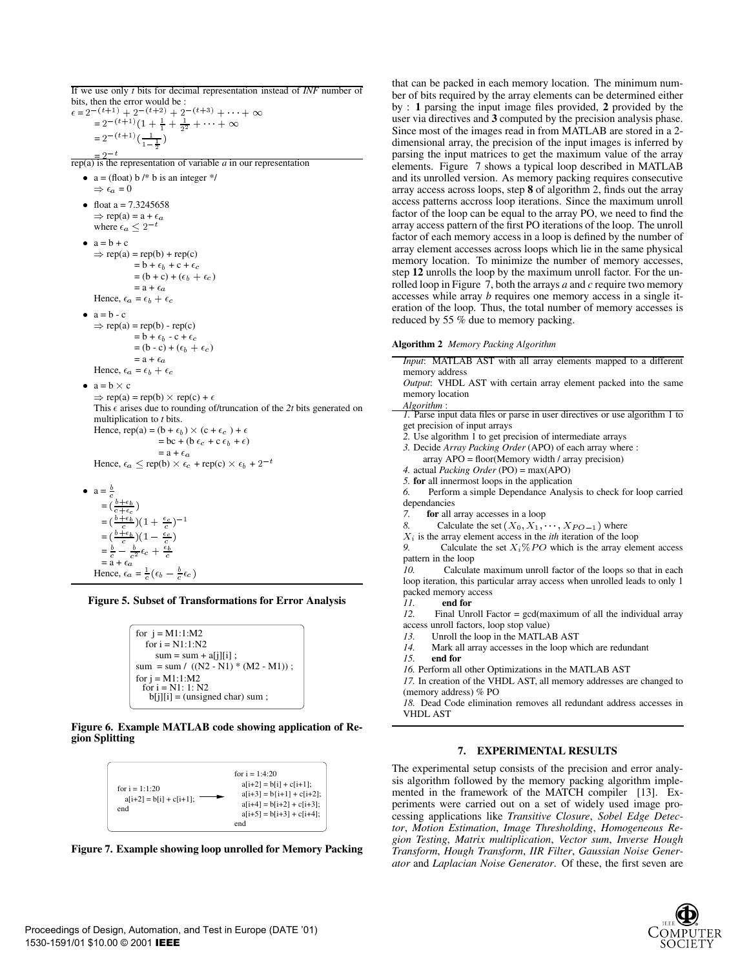If we use only *t* bits for decimal representation instead of *INF* number of bits, then the error would be :

 $\epsilon = 2^{-(t+1)} + 2^{-(t+2)} + 2^{-(t+3)} + \cdots + \infty$  $= 2^{-(t+1)}(1 + \frac{1}{1} + \frac{1}{2^2} + \cdots + \infty)$  $= 2^{-\left(t+1\right)} \left(\frac{1}{1-\frac{1}{2}}\right)$ )

 $\frac{1}{\pi}$  = 2<sup>-t</sup><br>rep(a) is the representation of variable *a* in our representation •  $a = (float) b \nmid b$  is an integer \*/  $\Rightarrow \epsilon_a = 0$ • float a =  $7.3245658$  $\Rightarrow$  rep(a) = a +  $\epsilon_a$ where  $\epsilon_a \leq 2^{-t}$  $a=b+c$  $\Rightarrow$  rep(a) = rep(b) + rep(c)  $= b + \epsilon_b + c + \epsilon_c$  $=(b + c) + (\epsilon_b + \epsilon_c)$  $=$ a +  $\epsilon_a$ Hence,  $\epsilon_a = \epsilon_b + \epsilon_c$  $a = b - c$  $\Rightarrow$  rep(a) = rep(b) - rep(c)  $=$  b +  $\epsilon_b$  - c +  $\epsilon_c$  $=(b - c) + (\epsilon_b + \epsilon_c)$  $=$ a +  $\epsilon_a$ Hence,  $\epsilon_a = \epsilon_b + \epsilon_c$ •  $a = b \times$ c and the contract of the contract of the contract of the contract of the contract of the contract of the contract of the contract of the contract of the contract of the contract of the contract of the contract of the cont  $\Rightarrow$  rep(a) = rep(b)  $\times$  rep(c) +  $\epsilon$ This  $\epsilon$  arises due to rounding of/truncation of the 2t bits generated on multiplication to *t* bits. Hence, rep(a) =  $(b + \epsilon_b) \times (c + \epsilon_c) + \epsilon$  $=$  bc + (b  $\epsilon_c$  + c  $\epsilon_b$  +  $\epsilon$ )  $=$ a +  $\epsilon_a$ Hence,  $\epsilon_a \le$  rep(b)  $\times \epsilon_c$  + rep(c)  $\times \epsilon_b$  + 2<sup>-t</sup>  $\bullet$  a =  $\frac{b}{c}$  $=$  ( b+b  $=\left(\frac{b+\epsilon_b}{c}\right)(1+\frac{\epsilon_c}{c})^{-1}$ )

 $=\left(\frac{b+\epsilon_b}{c}\right)(1-\frac{\epsilon_c}{c})$  $=\frac{b}{c}-\frac{b}{c^2}\epsilon_c+\frac{\epsilon_b}{c}$  $=\bar{a}+\epsilon_a$ 

Hence,  $\epsilon_a = \frac{1}{c} (\epsilon_b - \frac{b}{c} \epsilon_c)$ 

## **Figure 5. Subset of Transformations for Error Analysis**

```
for j = M1:1:M2for i = N1:1:N2sum = sum + a[i][i];
sum = sum / ((N2 - N1) * (M2 - M1));
for j = M1:1:M2for i = N1: 1: N2b[j][i] = (unsigned char) sum ;
```
### **Figure 6. Example MATLAB code showing application of Region Splitting**





that can be packed in each memory location. The minimum number of bits required by the array elements can be determined either by : **1** parsing the input image files provided, **2** provided by the user via directives and **3** computed by the precision analysis phase. Since most of the images read in from MATLAB are stored in a 2 dimensional array, the precision of the input images is inferred by parsing the input matrices to get the maximum value of the array elements. Figure 7 shows a typical loop described in MATLAB and its unrolled version. As memory packing requires consecutive array access across loops, step **8** of algorithm 2, finds out the array access patterns accross loop iterations. Since the maximum unroll factor of the loop can be equal to the array PO, we need to find the array access pattern of the first PO iterations of the loop. The unroll factor of each memory access in a loop is defined by the number of array element accesses across loops which lie in the same physical memory location. To minimize the number of memory accesses, step **12** unrolls the loop by the maximum unroll factor. For the unrolled loop in Figure 7, both the arrays *a* and *c* require two memory accesses while array *b* requires one memory access in a single iteration of the loop. Thus, the total number of memory accesses is reduced by 55 % due to memory packing.

**Algorithm 2** *Memory Packing Algorithm*

| <i>Input</i> : MATLAB AST with all array elements mapped to a different             |
|-------------------------------------------------------------------------------------|
| memory address                                                                      |
| <i>Output</i> : VHDL AST with certain array element packed into the same            |
| memory location                                                                     |
| Algorithm:                                                                          |
| <i>I</i> . Parse input data files or parse in user directives or use algorithm 1 to |
| get precision of input arrays                                                       |
| 2. Use algorithm 1 to get precision of intermediate arrays                          |
| 3. Decide Array Packing Order (APO) of each array where :                           |
| $array APO = floor(Memory width / array precision)$                                 |
| 4. actual <i>Packing Order</i> (PO) = $max(APO)$                                    |
|                                                                                     |

*5.* **for** all innermost loops in the application

*6.* Perform a simple Dependance Analysis to check for loop carried dependancies

*7.* **for** all array accesses in a loop

- *8.* Calculate the set  $(X_0, X_1, \dots, X_{PO-1})$  where
- $X_i$  is the array element access in the *ith* iteration of the loop

9. Calculate the set  $X_i \% PO$  which is the array element access pattern in the loop

*10.* Calculate maximum unroll factor of the loops so that in each loop iteration, this particular array access when unrolled leads to only 1 packed memory access

*11.* **end for**

*12.* Final Unroll Factor = gcd(maximum of all the individual array access unroll factors, loop stop value)

- *13.* Unroll the loop in the MATLAB AST
- 
- 14. Mark all array accesses in the loop which are redundant 15. **end for**
- *15.* **end for**

*16.* Perform all other Optimizations in the MATLAB AST

*17.* In creation of the VHDL AST, all memory addresses are changed to (memory address) % PO

*18.* Dead Code elimination removes all redundant address accesses in VHDL AST

#### **7. EXPERIMENTAL RESULTS**

The experimental setup consists of the precision and error analysis algorithm followed by the memory packing algorithm implemented in the framework of the MATCH compiler [13]. Experiments were carried out on a set of widely used image processing applications like *Transitive Closure*, *Sobel Edge Detector*, *Motion Estimation*, *Image Thresholding*, *Homogeneous Region Testing*, *Matrix multiplication*, *Vector sum*, *Inverse Hough Transform*, *Hough Transform*, *IIR Filter*, *Gaussian Noise Generator* and *Laplacian Noise Generator*. Of these, the first seven are

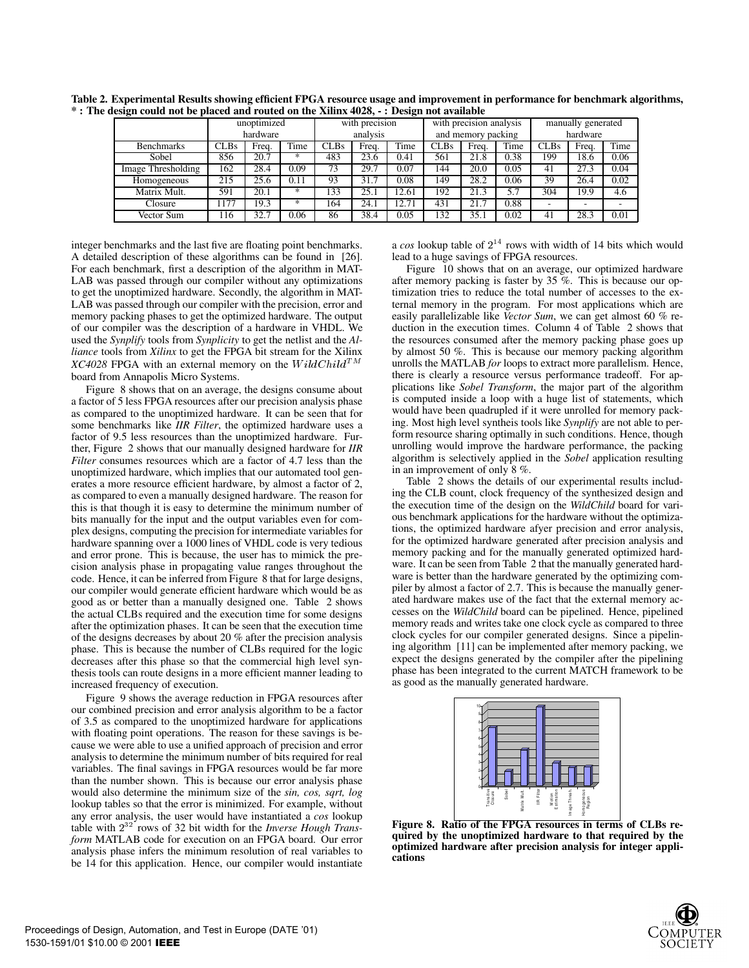|                    | unoptimized |       | with precision |          | with precision analysis |                    |      | manually generated |          |             |       |      |
|--------------------|-------------|-------|----------------|----------|-------------------------|--------------------|------|--------------------|----------|-------------|-------|------|
|                    | hardware    |       |                | analysis |                         | and memory packing |      |                    | hardware |             |       |      |
| <b>Benchmarks</b>  | <b>CLBs</b> | Freq. | Time           | CLBs     | Freq.                   | Time               | CLBs | Freq.              | Time     | <b>CLBs</b> | Freq. | Time |
| Sobel              | 856         | 20.7  | *              | 483      | 23.6                    | 0.41               | 561  | 21.8               | 0.38     | 199         | 18.6  | 0.06 |
| Image Thresholding | 162         | 28.4  | 0.09           | 73       | 29.7                    | 0.07               | 144  | 20.0               | 0.05     | 41          | 27.3  | 0.04 |
| Homogeneous        | 215         | 25.6  | 0.11           | 93       | 31.7                    | 0.08               | 149  | 28.2               | 0.06     | 39          | 26.4  | 0.02 |
| Matrix Mult.       | 591         | 20.1  | $*$            | 133      | 25.1                    | 12.61              | 192  | 21.3               |          | 304         | 19.9  | 4.6  |
| Closure            | 177         | 19.3  | $*$            | 164      | 24.1                    | 12.71              | 431  | 21.7               | 0.88     |             |       |      |
| Vector Sum         | 116         | 32.7  | 0.06           | 86       | 38.4                    | 0.05               | 132  | 35.1               | 0.02     | 41          | 28.3  | 0.01 |

**Table 2. Experimental Results showing efficient FPGA resource usage and improvement in performance for benchmark algorithms, \* : The design could not be placed and routed on the Xilinx 4028, - : Design not available**

integer benchmarks and the last five are floating point benchmarks. A detailed description of these algorithms can be found in [26]. For each benchmark, first a description of the algorithm in MAT-LAB was passed through our compiler without any optimizations to get the unoptimized hardware. Secondly, the algorithm in MAT-LAB was passed through our compiler with the precision, error and memory packing phases to get the optimized hardware. The output of our compiler was the description of a hardware in VHDL. We used the *Synplify* tools from *Synplicity* to get the netlist and the *Alliance* tools from *Xilinx* to get the FPGA bit stream for the Xilinx *XC4028* FPGA with an external memory on the  $W \, \mathrm{i} \, \mathrm{d} \, \mathrm{d} \, \mathrm{d} \, \mathrm{T}^M$ board from Annapolis Micro Systems.

Figure 8 shows that on an average, the designs consume about a factor of 5 less FPGA resources after our precision analysis phase as compared to the unoptimized hardware. It can be seen that for some benchmarks like *IIR Filter*, the optimized hardware uses a factor of 9.5 less resources than the unoptimized hardware. Further, Figure 2 shows that our manually designed hardware for *IIR Filter* consumes resources which are a factor of 4.7 less than the unoptimized hardware, which implies that our automated tool generates a more resource efficient hardware, by almost a factor of 2, as compared to even a manually designed hardware. The reason for this is that though it is easy to determine the minimum number of bits manually for the input and the output variables even for complex designs, computing the precision for intermediate variables for hardware spanning over a 1000 lines of VHDL code is very tedious and error prone. This is because, the user has to mimick the precision analysis phase in propagating value ranges throughout the code. Hence, it can be inferred from Figure 8 that for large designs, our compiler would generate efficient hardware which would be as good as or better than a manually designed one. Table 2 shows the actual CLBs required and the execution time for some designs after the optimization phases. It can be seen that the execution time of the designs decreases by about 20 % after the precision analysis phase. This is because the number of CLBs required for the logic decreases after this phase so that the commercial high level synthesis tools can route designs in a more efficient manner leading to increased frequency of execution.

Figure 9 shows the average reduction in FPGA resources after our combined precision and error analysis algorithm to be a factor of 3.5 as compared to the unoptimized hardware for applications with floating point operations. The reason for these savings is because we were able to use a unified approach of precision and error analysis to determine the minimum number of bits required for real variables. The final savings in FPGA resources would be far more than the number shown. This is because our error analysis phase would also determine the minimum size of the *sin, cos, sqrt, log* lookup tables so that the error is minimized. For example, without any error analysis, the user would have instantiated a *cos* lookup table with <sup>2</sup> <sup>32</sup> rows of 32 bit width for the *Inverse Hough Transform* MATLAB code for execution on an FPGA board. Our error analysis phase infers the minimum resolution of real variables to be 14 for this application. Hence, our compiler would instantiate

a  $\cos$  lookup table of  $2^{14}$  rows with width of 14 bits which would lead to a huge savings of FPGA resources.

Figure 10 shows that on an average, our optimized hardware after memory packing is faster by 35  $\%$ . This is because our optimization tries to reduce the total number of accesses to the external memory in the program. For most applications which are easily parallelizable like *Vector Sum*, we can get almost 60 % reduction in the execution times. Column 4 of Table 2 shows that the resources consumed after the memory packing phase goes up by almost 50 %. This is because our memory packing algorithm unrolls the MATLAB *for* loops to extract more parallelism. Hence, there is clearly a resource versus performance tradeoff. For applications like *Sobel Transform*, the major part of the algorithm is computed inside a loop with a huge list of statements, which would have been quadrupled if it were unrolled for memory packing. Most high level syntheis tools like *Synplify* are not able to perform resource sharing optimally in such conditions. Hence, though unrolling would improve the hardware performance, the packing algorithm is selectively applied in the *Sobel* application resulting in an improvement of only 8 %.

Table 2 shows the details of our experimental results including the CLB count, clock frequency of the synthesized design and the execution time of the design on the *WildChild* board for various benchmark applications for the hardware without the optimizations, the optimized hardware afyer precision and error analysis, for the optimized hardware generated after precision analysis and memory packing and for the manually generated optimized hardware. It can be seen from Table 2 that the manually generated hardware is better than the hardware generated by the optimizing compiler by almost a factor of 2.7. This is because the manually generated hardware makes use of the fact that the external memory accesses on the *WildChild* board can be pipelined. Hence, pipelined memory reads and writes take one clock cycle as compared to three clock cycles for our compiler generated designs. Since a pipelining algorithm [11] can be implemented after memory packing, we expect the designs generated by the compiler after the pipelining phase has been integrated to the current MATCH framework to be as good as the manually generated hardware.



**Figure 8. Ratio of the FPGA resources in terms of CLBs required by the unoptimized hardware to that required by the optimized hardware after precision analysis for integer applications**